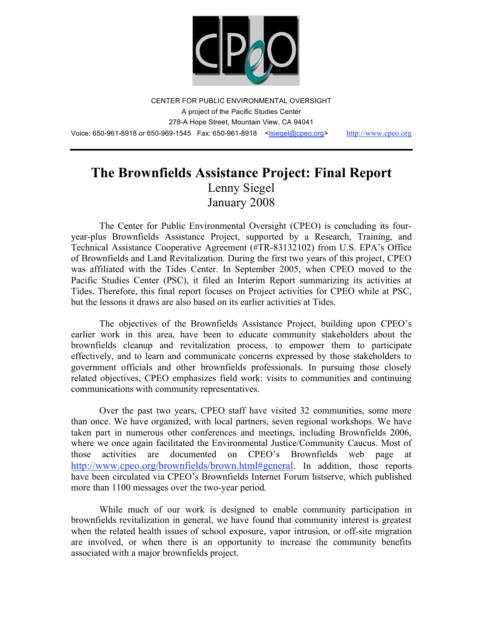

CENTER FOR PUBLIC ENVIRONMENTAL OVERSIGHT A project of the Pacific Studies Center 278-A Hope Street, Mountain View, CA 94041 Voice: 650-961-8918 or 650-969-1545 Fax: 650-961-8918 <<u>Isiegel@cpeo.org> http://www.cpeo.org</u>

# **The Brownfields Assistance Project: Final Report** Lenny Siegel January 2008

The Center for Public Environmental Oversight (CPEO) is concluding its fouryear-plus Brownfields Assistance Project, supported by a Research, Training, and Technical Assistance Cooperative Agreement (#TR-83132102) from U.S. EPA's Office of Brownfields and Land Revitalization. During the first two years of this project, CPEO was affiliated with the Tides Center. In September 2005, when CPEO moved to the Pacific Studies Center (PSC), it filed an Interim Report summarizing its activities at Tides. Therefore, this final report focuses on Project activities for CPEO while at PSC, but the lessons it draws are also based on its earlier activities at Tides.

The objectives of the Brownfields Assistance Project, building upon CPEO's earlier work in this area, have been to educate community stakeholders about the brownfields cleanup and revitalization process, to empower them to participate effectively, and to learn and communicate concerns expressed by those stakeholders to government officials and other brownfields professionals. In pursuing those closely related objectives, CPEO emphasizes field work: visits to communities and continuing communications with community representatives.

Over the past two years, CPEO staff have visited 32 communities, some more than once. We have organized, with local partners, seven regional workshops. We have taken part in numerous other conferences and meetings, including Brownfields 2006, where we once again facilitated the Environmental Justice/Community Caucus. Most of those activities are documented on CPEO's Brownfields web page at http://www.cpeo.org/brownfields/brown.html#general. In addition, those reports have been circulated via CPEO's Brownfields Internet Forum listserve, which published more than 1100 messages over the two-year period.

While much of our work is designed to enable community participation in brownfields revitalization in general, we have found that community interest is greatest when the related health issues of school exposure, vapor intrusion, or off-site migration are involved, or when there is an opportunity to increase the community benefits associated with a major brownfields project.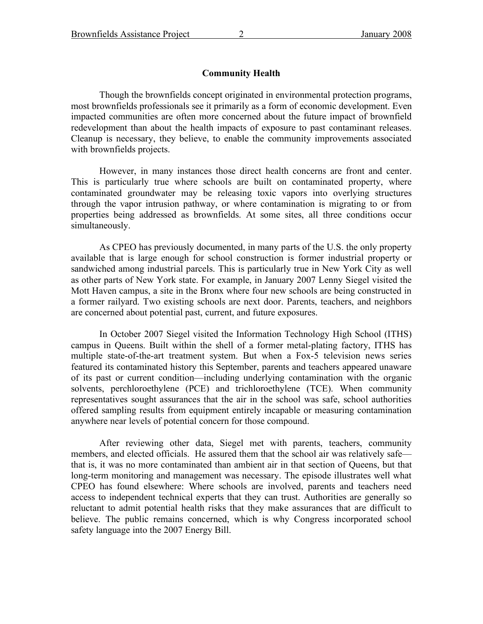### **Community Health**

Though the brownfields concept originated in environmental protection programs, most brownfields professionals see it primarily as a form of economic development. Even impacted communities are often more concerned about the future impact of brownfield redevelopment than about the health impacts of exposure to past contaminant releases. Cleanup is necessary, they believe, to enable the community improvements associated with brownfields projects.

However, in many instances those direct health concerns are front and center. This is particularly true where schools are built on contaminated property, where contaminated groundwater may be releasing toxic vapors into overlying structures through the vapor intrusion pathway, or where contamination is migrating to or from properties being addressed as brownfields. At some sites, all three conditions occur simultaneously.

As CPEO has previously documented, in many parts of the U.S. the only property available that is large enough for school construction is former industrial property or sandwiched among industrial parcels. This is particularly true in New York City as well as other parts of New York state. For example, in January 2007 Lenny Siegel visited the Mott Haven campus, a site in the Bronx where four new schools are being constructed in a former railyard. Two existing schools are next door. Parents, teachers, and neighbors are concerned about potential past, current, and future exposures.

In October 2007 Siegel visited the Information Technology High School (ITHS) campus in Queens. Built within the shell of a former metal-plating factory, ITHS has multiple state-of-the-art treatment system. But when a Fox-5 television news series featured its contaminated history this September, parents and teachers appeared unaware of its past or current condition—including underlying contamination with the organic solvents, perchloroethylene (PCE) and trichloroethylene (TCE). When community representatives sought assurances that the air in the school was safe, school authorities offered sampling results from equipment entirely incapable or measuring contamination anywhere near levels of potential concern for those compound.

After reviewing other data, Siegel met with parents, teachers, community members, and elected officials. He assured them that the school air was relatively safe that is, it was no more contaminated than ambient air in that section of Queens, but that long-term monitoring and management was necessary. The episode illustrates well what CPEO has found elsewhere: Where schools are involved, parents and teachers need access to independent technical experts that they can trust. Authorities are generally so reluctant to admit potential health risks that they make assurances that are difficult to believe. The public remains concerned, which is why Congress incorporated school safety language into the 2007 Energy Bill.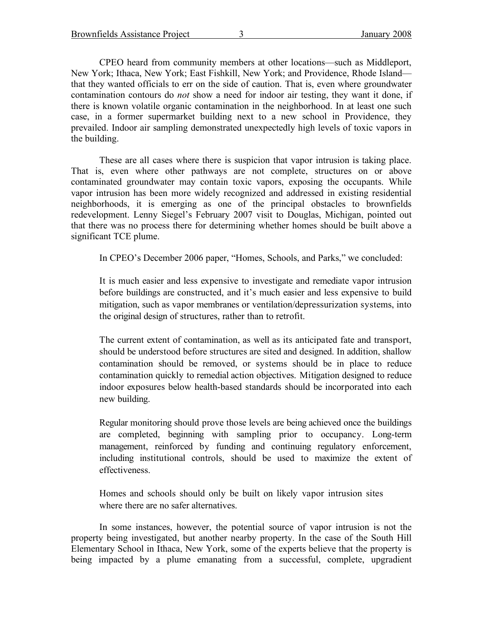Brownfields Assistance Project 3 January 2008

CPEO heard from community members at other locations—such as Middleport, New York; Ithaca, New York; East Fishkill, New York; and Providence, Rhode Island that they wanted officials to err on the side of caution. That is, even where groundwater contamination contours do *not* show a need for indoor air testing, they want it done, if there is known volatile organic contamination in the neighborhood. In at least one such case, in a former supermarket building next to a new school in Providence, they prevailed. Indoor air sampling demonstrated unexpectedly high levels of toxic vapors in the building.

These are all cases where there is suspicion that vapor intrusion is taking place. That is, even where other pathways are not complete, structures on or above contaminated groundwater may contain toxic vapors, exposing the occupants. While vapor intrusion has been more widely recognized and addressed in existing residential neighborhoods, it is emerging as one of the principal obstacles to brownfields redevelopment. Lenny Siegel's February 2007 visit to Douglas, Michigan, pointed out that there was no process there for determining whether homes should be built above a significant TCE plume.

In CPEO's December 2006 paper, "Homes, Schools, and Parks," we concluded:

It is much easier and less expensive to investigate and remediate vapor intrusion before buildings are constructed, and it's much easier and less expensive to build mitigation, such as vapor membranes or ventilation/depressurization systems, into the original design of structures, rather than to retrofit.

The current extent of contamination, as well as its anticipated fate and transport, should be understood before structures are sited and designed. In addition, shallow contamination should be removed, or systems should be in place to reduce contamination quickly to remedial action objectives. Mitigation designed to reduce indoor exposures below health-based standards should be incorporated into each new building.

Regular monitoring should prove those levels are being achieved once the buildings are completed, beginning with sampling prior to occupancy. Long-term management, reinforced by funding and continuing regulatory enforcement, including institutional controls, should be used to maximize the extent of effectiveness.

Homes and schools should only be built on likely vapor intrusion sites where there are no safer alternatives.

In some instances, however, the potential source of vapor intrusion is not the property being investigated, but another nearby property. In the case of the South Hill Elementary School in Ithaca, New York, some of the experts believe that the property is being impacted by a plume emanating from a successful, complete, upgradient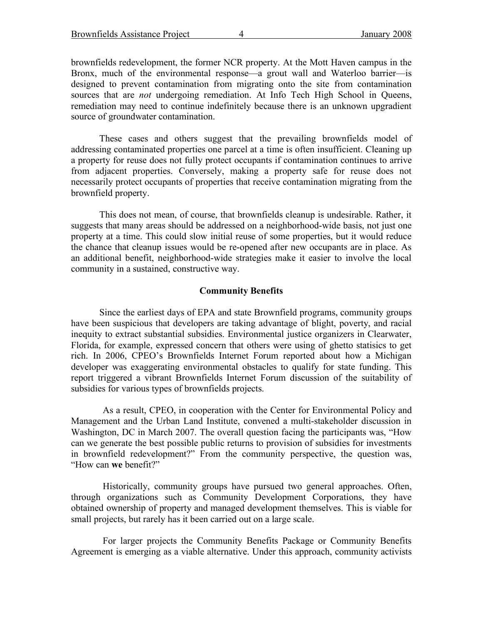Brownfields Assistance Project 4 January 2008

brownfields redevelopment, the former NCR property. At the Mott Haven campus in the Bronx, much of the environmental response—a grout wall and Waterloo barrier—is designed to prevent contamination from migrating onto the site from contamination sources that are *not* undergoing remediation. At Info Tech High School in Queens, remediation may need to continue indefinitely because there is an unknown upgradient source of groundwater contamination.

These cases and others suggest that the prevailing brownfields model of addressing contaminated properties one parcel at a time is often insufficient. Cleaning up a property for reuse does not fully protect occupants if contamination continues to arrive from adjacent properties. Conversely, making a property safe for reuse does not necessarily protect occupants of properties that receive contamination migrating from the brownfield property.

This does not mean, of course, that brownfields cleanup is undesirable. Rather, it suggests that many areas should be addressed on a neighborhood-wide basis, not just one property at a time. This could slow initial reuse of some properties, but it would reduce the chance that cleanup issues would be re-opened after new occupants are in place. As an additional benefit, neighborhood-wide strategies make it easier to involve the local community in a sustained, constructive way.

#### **Community Benefits**

Since the earliest days of EPA and state Brownfield programs, community groups have been suspicious that developers are taking advantage of blight, poverty, and racial inequity to extract substantial subsidies. Environmental justice organizers in Clearwater, Florida, for example, expressed concern that others were using of ghetto statisics to get rich. In 2006, CPEO's Brownfields Internet Forum reported about how a Michigan developer was exaggerating environmental obstacles to qualify for state funding. This report triggered a vibrant Brownfields Internet Forum discussion of the suitability of subsidies for various types of brownfields projects.

As a result, CPEO, in cooperation with the Center for Environmental Policy and Management and the Urban Land Institute, convened a multi-stakeholder discussion in Washington, DC in March 2007. The overall question facing the participants was, "How can we generate the best possible public returns to provision of subsidies for investments in brownfield redevelopment?" From the community perspective, the question was, "How can **we** benefit?"

Historically, community groups have pursued two general approaches. Often, through organizations such as Community Development Corporations, they have obtained ownership of property and managed development themselves. This is viable for small projects, but rarely has it been carried out on a large scale.

For larger projects the Community Benefits Package or Community Benefits Agreement is emerging as a viable alternative. Under this approach, community activists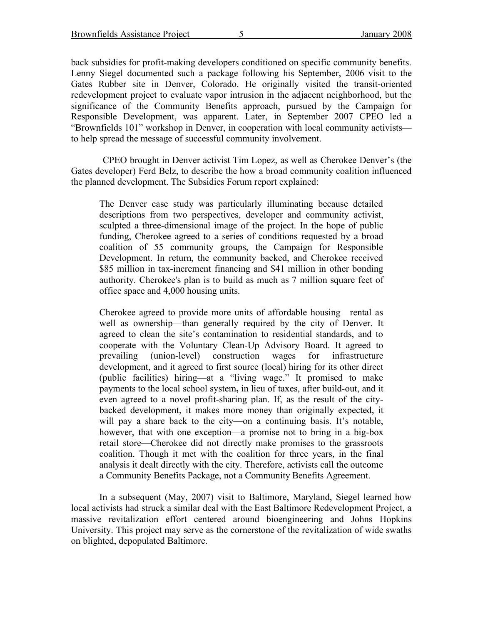back subsidies for profit-making developers conditioned on specific community benefits. Lenny Siegel documented such a package following his September, 2006 visit to the Gates Rubber site in Denver, Colorado. He originally visited the transit-oriented redevelopment project to evaluate vapor intrusion in the adjacent neighborhood, but the significance of the Community Benefits approach, pursued by the Campaign for Responsible Development, was apparent. Later, in September 2007 CPEO led a "Brownfields 101" workshop in Denver, in cooperation with local community activists to help spread the message of successful community involvement.

CPEO brought in Denver activist Tim Lopez, as well as Cherokee Denver's (the Gates developer) Ferd Belz, to describe the how a broad community coalition influenced the planned development. The Subsidies Forum report explained:

The Denver case study was particularly illuminating because detailed descriptions from two perspectives, developer and community activist, sculpted a three-dimensional image of the project. In the hope of public funding, Cherokee agreed to a series of conditions requested by a broad coalition of 55 community groups, the Campaign for Responsible Development. In return, the community backed, and Cherokee received \$85 million in tax-increment financing and \$41 million in other bonding authority. Cherokee's plan is to build as much as 7 million square feet of office space and 4,000 housing units.

Cherokee agreed to provide more units of affordable housing—rental as well as ownership—than generally required by the city of Denver. It agreed to clean the site's contamination to residential standards, and to cooperate with the Voluntary Clean-Up Advisory Board. It agreed to prevailing (union-level) construction wages for infrastructure development, and it agreed to first source (local) hiring for its other direct (public facilities) hiring—at a "living wage." It promised to make payments to the local school system**,** in lieu of taxes, after build-out, and it even agreed to a novel profit-sharing plan. If, as the result of the citybacked development, it makes more money than originally expected, it will pay a share back to the city—on a continuing basis. It's notable, however, that with one exception—a promise not to bring in a big-box retail store—Cherokee did not directly make promises to the grassroots coalition. Though it met with the coalition for three years, in the final analysis it dealt directly with the city. Therefore, activists call the outcome a Community Benefits Package, not a Community Benefits Agreement.

In a subsequent (May, 2007) visit to Baltimore, Maryland, Siegel learned how local activists had struck a similar deal with the East Baltimore Redevelopment Project, a massive revitalization effort centered around bioengineering and Johns Hopkins University. This project may serve as the cornerstone of the revitalization of wide swaths on blighted, depopulated Baltimore.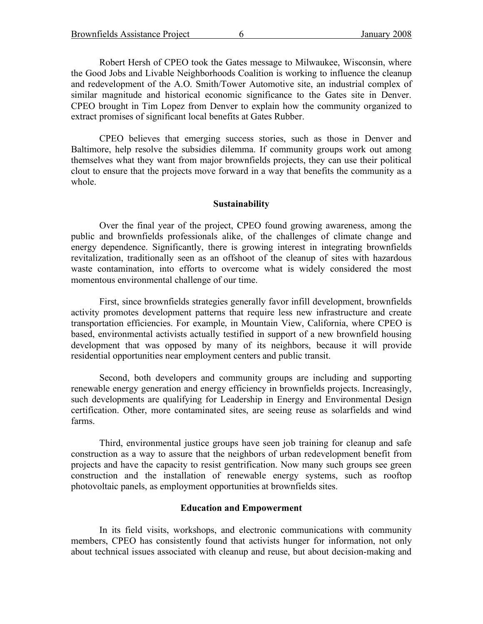Robert Hersh of CPEO took the Gates message to Milwaukee, Wisconsin, where the Good Jobs and Livable Neighborhoods Coalition is working to influence the cleanup and redevelopment of the A.O. Smith/Tower Automotive site, an industrial complex of similar magnitude and historical economic significance to the Gates site in Denver. CPEO brought in Tim Lopez from Denver to explain how the community organized to extract promises of significant local benefits at Gates Rubber.

CPEO believes that emerging success stories, such as those in Denver and Baltimore, help resolve the subsidies dilemma. If community groups work out among themselves what they want from major brownfields projects, they can use their political clout to ensure that the projects move forward in a way that benefits the community as a whole.

## **Sustainability**

Over the final year of the project, CPEO found growing awareness, among the public and brownfields professionals alike, of the challenges of climate change and energy dependence. Significantly, there is growing interest in integrating brownfields revitalization, traditionally seen as an offshoot of the cleanup of sites with hazardous waste contamination, into efforts to overcome what is widely considered the most momentous environmental challenge of our time.

First, since brownfields strategies generally favor infill development, brownfields activity promotes development patterns that require less new infrastructure and create transportation efficiencies. For example, in Mountain View, California, where CPEO is based, environmental activists actually testified in support of a new brownfield housing development that was opposed by many of its neighbors, because it will provide residential opportunities near employment centers and public transit.

Second, both developers and community groups are including and supporting renewable energy generation and energy efficiency in brownfields projects. Increasingly, such developments are qualifying for Leadership in Energy and Environmental Design certification. Other, more contaminated sites, are seeing reuse as solarfields and wind farms.

Third, environmental justice groups have seen job training for cleanup and safe construction as a way to assure that the neighbors of urban redevelopment benefit from projects and have the capacity to resist gentrification. Now many such groups see green construction and the installation of renewable energy systems, such as rooftop photovoltaic panels, as employment opportunities at brownfields sites.

#### **Education and Empowerment**

In its field visits, workshops, and electronic communications with community members, CPEO has consistently found that activists hunger for information, not only about technical issues associated with cleanup and reuse, but about decision-making and